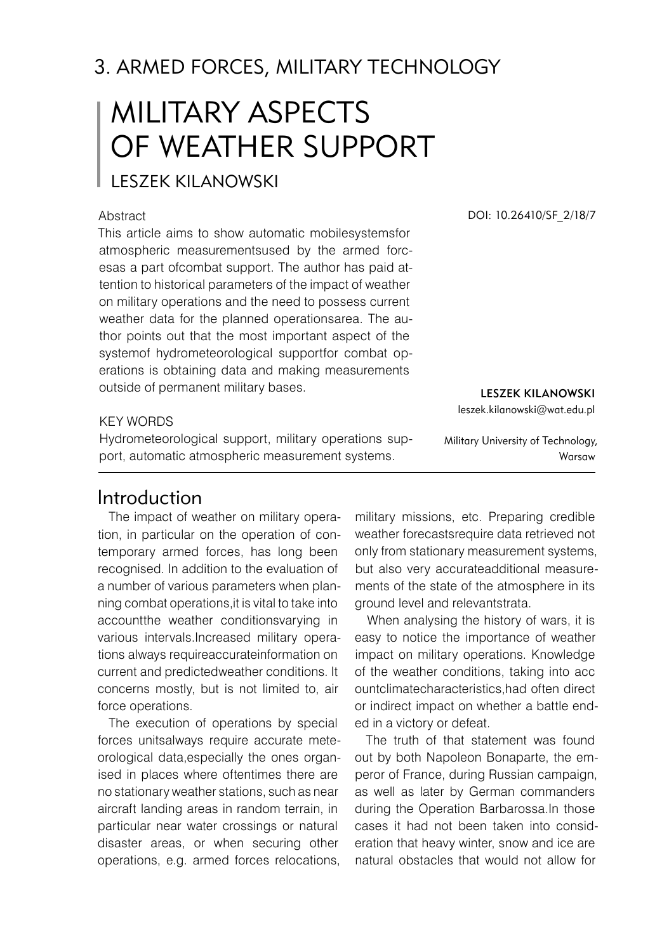# 3. ARMED FORCES, MILITaRY TECHNOLOGY

# Military aspects of weather support

Leszek KILANOWSKI

### **Abstract**

This article aims to show automatic mobilesystemsfor atmospheric measurementsused by the armed forcesas a part ofcombat support. The author has paid attention to historical parameters of the impact of weather on military operations and the need to possess current weather data for the planned operationsarea. The author points out that the most important aspect of the systemof hydrometeorological supportfor combat operations is obtaining data and making measurements outside of permanent military bases.

### KFY WORDS

Hydrometeorological support, military operations support, automatic atmospheric measurement systems.

Introduction

The impact of weather on military operation, in particular on the operation of contemporary armed forces, has long been recognised. In addition to the evaluation of a number of various parameters when planning combat operations,it is vital to take into accountthe weather conditionsvarying in various intervals.Increased military operations always requireaccurateinformation on current and predictedweather conditions. It concerns mostly, but is not limited to, air force operations.

The execution of operations by special forces unitsalways require accurate meteorological data,especially the ones organised in places where oftentimes there are no stationary weather stations, such as near aircraft landing areas in random terrain, in particular near water crossings or natural disaster areas, or when securing other operations, e.g. armed forces relocations,

DOI: 10.26410/SF\_2/18/7

Military University of Technology, Warsaw

Leszek KILANOWSKI leszek.kilanowski@wat.edu.pl

military missions, etc. Preparing credible weather forecastsrequire data retrieved not only from stationary measurement systems, but also very accurateadditional measurements of the state of the atmosphere in its ground level and relevantstrata.

When analysing the history of wars, it is easy to notice the importance of weather impact on military operations. Knowledge of the weather conditions, taking into acc ountclimatecharacteristics,had often direct or indirect impact on whether a battle ended in a victory or defeat.

The truth of that statement was found out by both Napoleon Bonaparte, the emperor of France, during Russian campaign, as well as later by German commanders during the Operation Barbarossa.In those cases it had not been taken into consideration that heavy winter, snow and ice are natural obstacles that would not allow for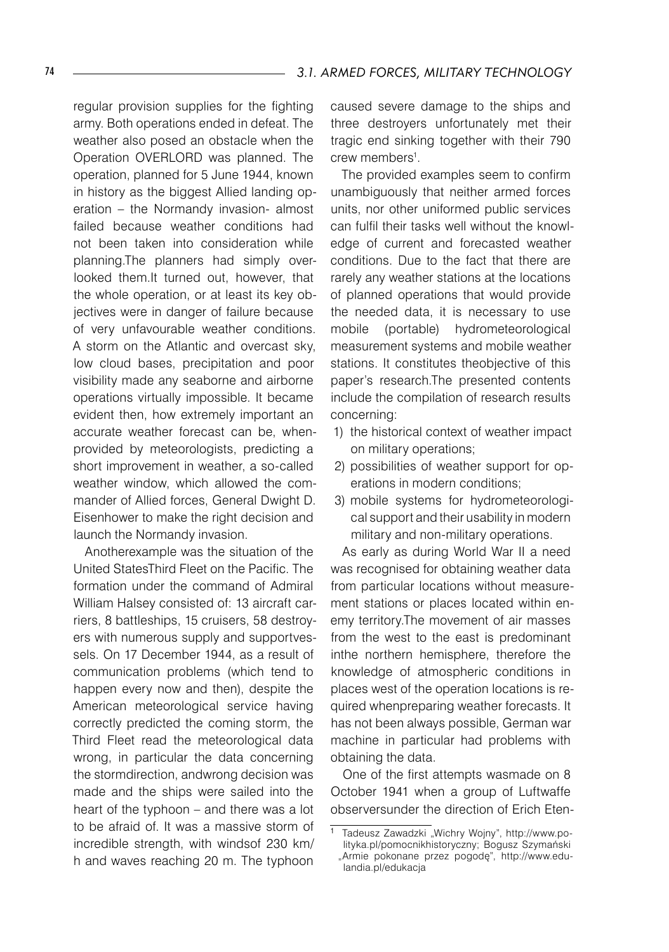regular provision supplies for the fighting army. Both operations ended in defeat. The weather also posed an obstacle when the Operation OVERLORD was planned. The operation, planned for 5 June 1944, known in history as the biggest Allied landing operation – the Normandy invasion- almost failed because weather conditions had not been taken into consideration while planning.The planners had simply overlooked them.It turned out, however, that the whole operation, or at least its key objectives were in danger of failure because of very unfavourable weather conditions. A storm on the Atlantic and overcast sky, low cloud bases, precipitation and poor visibility made any seaborne and airborne operations virtually impossible. It became evident then, how extremely important an accurate weather forecast can be, whenprovided by meteorologists, predicting a short improvement in weather, a so-called weather window, which allowed the commander of Allied forces, General Dwight D. Eisenhower to make the right decision and launch the Normandy invasion.

Anotherexample was the situation of the United StatesThird Fleet on the Pacific. The formation under the command of Admiral William Halsey consisted of: 13 aircraft carriers, 8 battleships, 15 cruisers, 58 destroyers with numerous supply and supportvessels. On 17 December 1944, as a result of communication problems (which tend to happen every now and then), despite the American meteorological service having correctly predicted the coming storm, the Third Fleet read the meteorological data wrong, in particular the data concerning the stormdirection, andwrong decision was made and the ships were sailed into the heart of the typhoon – and there was a lot to be afraid of. It was a massive storm of incredible strength, with windsof 230 km/ h and waves reaching 20 m. The typhoon

caused severe damage to the ships and three destroyers unfortunately met their tragic end sinking together with their 790 crew members<sup>1</sup>.

The provided examples seem to confirm unambiguously that neither armed forces units, nor other uniformed public services can fulfil their tasks well without the knowledge of current and forecasted weather conditions. Due to the fact that there are rarely any weather stations at the locations of planned operations that would provide the needed data, it is necessary to use mobile (portable) hydrometeorological measurement systems and mobile weather stations. It constitutes theobjective of this paper's research.The presented contents include the compilation of research results concerning:

- 1) the historical context of weather impact on military operations;
- 2) possibilities of weather support for operations in modern conditions;
- 3) mobile systems for hydrometeorological support and their usability in modern military and non-military operations.

As early as during World War II a need was recognised for obtaining weather data from particular locations without measurement stations or places located within enemy territory.The movement of air masses from the west to the east is predominant inthe northern hemisphere, therefore the knowledge of atmospheric conditions in places west of the operation locations is required whenpreparing weather forecasts. It has not been always possible, German war machine in particular had problems with obtaining the data.

One of the first attempts wasmade on 8 October 1941 when a group of Luftwaffe observersunder the direction of Erich Eten-

Tadeusz Zawadzki "Wichry Wojny", http://www.polityka.pl/pomocnikhistoryczny; Bogusz Szymański

<sup>&</sup>quot;Armie pokonane przez pogodę", http://www.edulandia.pl/edukacja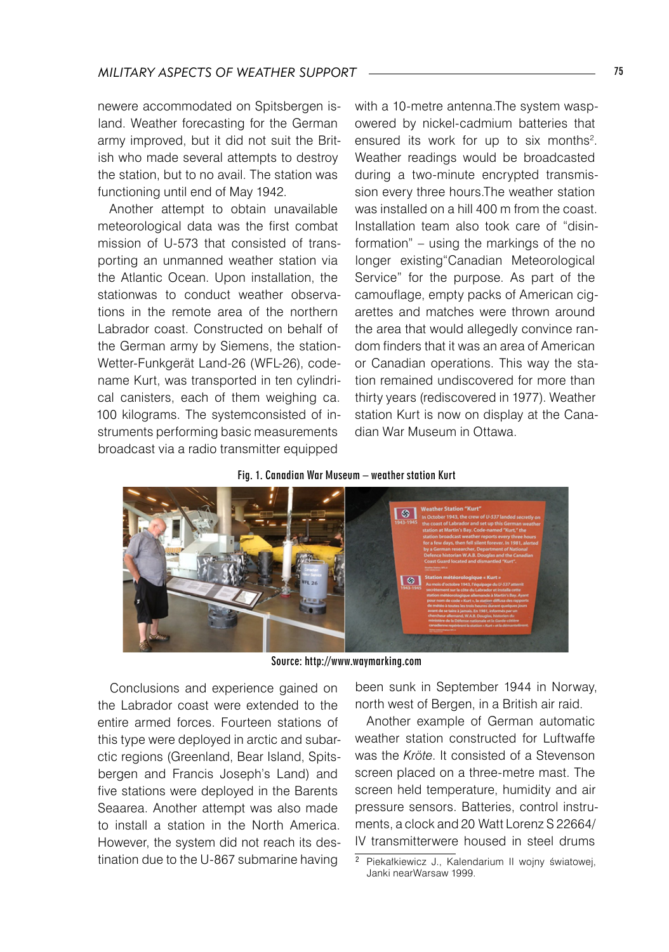newere accommodated on Spitsbergen island. Weather forecasting for the German army improved, but it did not suit the British who made several attempts to destroy the station, but to no avail. The station was functioning until end of May 1942.

Another attempt to obtain unavailable meteorological data was the first combat mission of U-573 that consisted of transporting an unmanned weather station via the Atlantic Ocean. Upon installation, the stationwas to conduct weather observations in the remote area of the northern Labrador coast. Constructed on behalf of the German army by Siemens, the station-Wetter-Funkgerät Land-26 (WFL-26), codename Kurt, was transported in ten cylindrical canisters, each of them weighing ca. 100 kilograms. The systemconsisted of instruments performing basic measurements broadcast via a radio transmitter equipped

with a 10-metre antenna.The system waspowered by nickel-cadmium batteries that ensured its work for up to six months<sup>2</sup>. Weather readings would be broadcasted during a two-minute encrypted transmission every three hours.The weather station was installed on a hill 400 m from the coast. Installation team also took care of "disinformation" – using the markings of the no longer existing"Canadian Meteorological Service" for the purpose. As part of the camouflage, empty packs of American cigarettes and matches were thrown around the area that would allegedly convince random finders that it was an area of American or Canadian operations. This way the station remained undiscovered for more than thirty years (rediscovered in 1977). Weather station Kurt is now on display at the Canadian War Museum in Ottawa.

### Fig. 1. Canadian War Museum – weather station Kurt



Source: http://www.waymarking.com

Conclusions and experience gained on the Labrador coast were extended to the entire armed forces. Fourteen stations of this type were deployed in arctic and subarctic regions (Greenland, Bear Island, Spitsbergen and Francis Joseph's Land) and five stations were deployed in the Barents Seaarea. Another attempt was also made to install a station in the North America. However, the system did not reach its destination due to the U-867 submarine having

been sunk in September 1944 in Norway, north west of Bergen, in a British air raid.

Another example of German automatic weather station constructed for Luftwaffe was the *Kröte*. It consisted of a Stevenson screen placed on a three-metre mast. The screen held temperature, humidity and air pressure sensors. Batteries, control instruments, a clock and 20<sup>2</sup> Watt Lorenz S 22664/ IV transmitterwere housed in steel drums

<sup>2</sup> Piekałkiewicz J., Kalendarium II wojny światowej, Janki nearWarsaw 1999.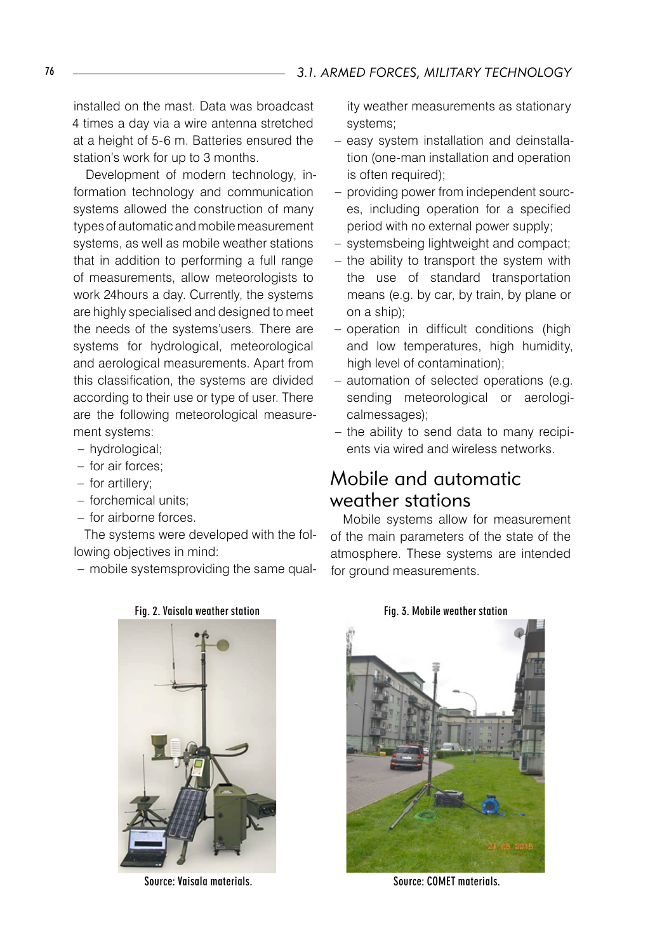installed on the mast. Data was broadcast 4 times a day via a wire antenna stretched at a height of 5-6 m. Batteries ensured the station's work for up to 3 months.

Development of modern technology, information technology and communication systems allowed the construction of many types of automatic and mobile measurement systems, as well as mobile weather stations that in addition to performing a full range of measurements, allow meteorologists to work 24hours a day. Currently, the systems are highly specialised and designed to meet the needs of the systems'users. There are systems for hydrological, meteorological and aerological measurements. Apart from this classification, the systems are divided according to their use or type of user. There are the following meteorological measurement systems:

- hydrological; –
- for air forces;
- for artillery;
- forchemical units;
- for airborne forces.

The systems were developed with the following objectives in mind:

mobile systemsproviding the same qual- –

Source: Vaisala materials. Source: COMET materials.

ity weather measurements as stationary systems;

- easy system installation and deinstallation (one-man installation and operation is often required);
- providing power from independent sources, including operation for a specified period with no external power supply;
- systemsbeing lightweight and compact;
- the ability to transport the system with the use of standard transportation means (e.g. by car, by train, by plane or on a ship);
- operation in difficult conditions (high and low temperatures, high humidity, high level of contamination);
- automation of selected operations (e.g. sending meteorological or aerologicalmessages);
- the ability to send data to many recipients via wired and wireless networks.

## Mobile and automatic weather stations

Mobile systems allow for measurement of the main parameters of the state of the atmosphere. These systems are intended for ground measurements.



Fig. 2. Vaisala weather station Fig. 3. Mobile weather station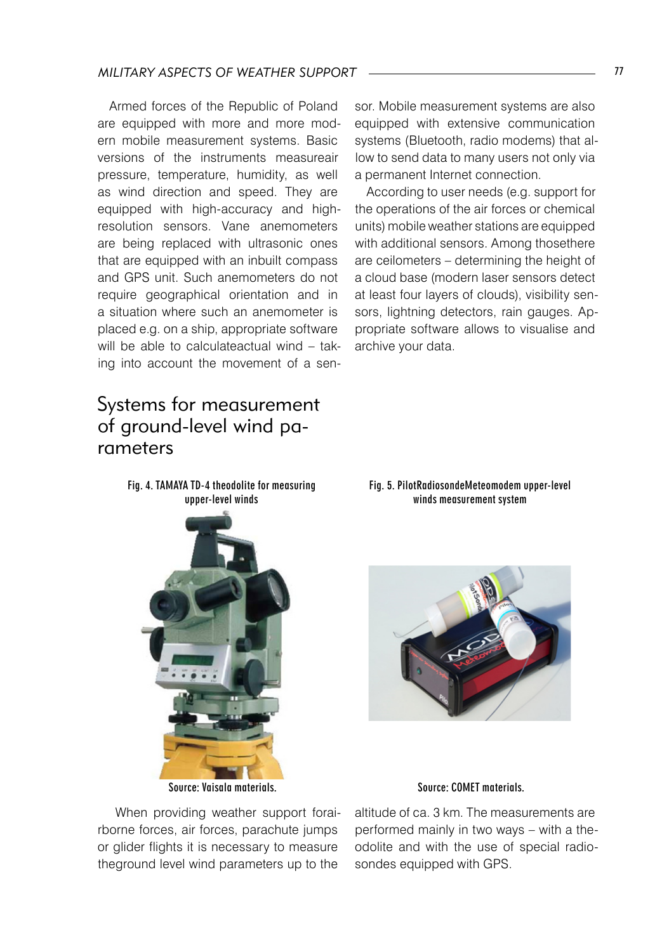### *Military aspects of weather support* 77

Armed forces of the Republic of Poland are equipped with more and more modern mobile measurement systems. Basic versions of the instruments measureair pressure, temperature, humidity, as well as wind direction and speed. They are equipped with high-accuracy and highresolution sensors. Vane anemometers are being replaced with ultrasonic ones that are equipped with an inbuilt compass and GPS unit. Such anemometers do not require geographical orientation and in a situation where such an anemometer is placed e.g. on a ship, appropriate software will be able to calculateactual wind - taking into account the movement of a sen-

# Systems for measurement of ground-level wind parameters

Fig. 4. TAMAYA TD-4 theodolite for measuring

sor. Mobile measurement systems are also equipped with extensive communication systems (Bluetooth, radio modems) that allow to send data to many users not only via a permanent Internet connection.

According to user needs (e.g. support for the operations of the air forces or chemical units) mobile weather stations are equipped with additional sensors. Among thosethere are ceilometers – determining the height of a cloud base (modern laser sensors detect at least four layers of clouds), visibility sensors, lightning detectors, rain gauges. Appropriate software allows to visualise and archive your data.



Source: Vaisala materials. Source: COMET materials.

 When providing weather support forairborne forces, air forces, parachute jumps or glider flights it is necessary to measure theground level wind parameters up to the

Fig. 5. PilotRadiosondeMeteomodem upper-level winds measurement system



altitude of ca. 3 km. The measurements are performed mainly in two ways – with a theodolite and with the use of special radiosondes equipped with GPS.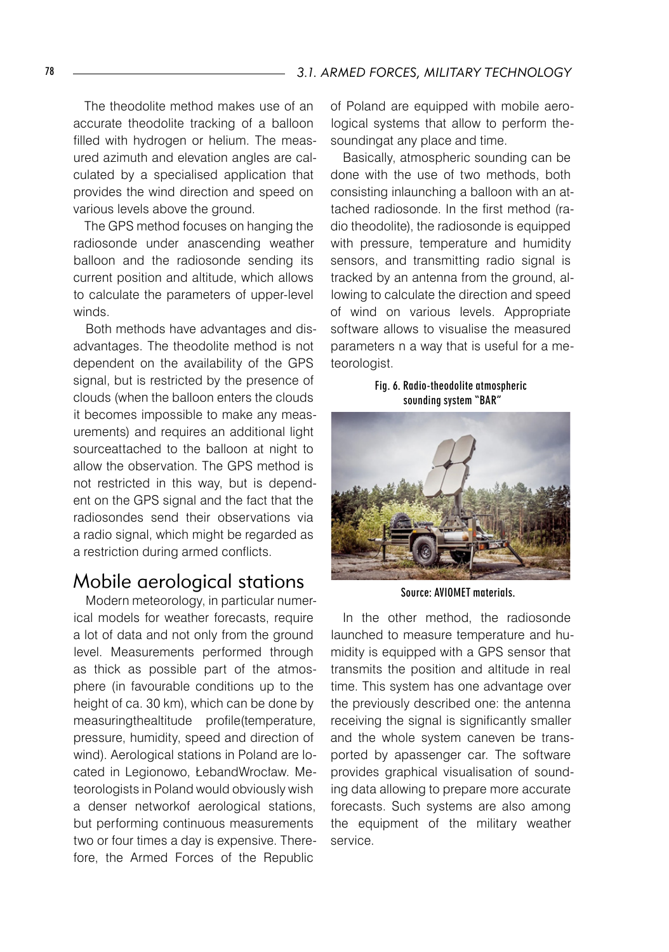The theodolite method makes use of an accurate theodolite tracking of a balloon filled with hydrogen or helium. The measured azimuth and elevation angles are calculated by a specialised application that provides the wind direction and speed on various levels above the ground.

The GPS method focuses on hanging the radiosonde under anascending weather balloon and the radiosonde sending its current position and altitude, which allows to calculate the parameters of upper-level winds.

Both methods have advantages and disadvantages. The theodolite method is not dependent on the availability of the GPS signal, but is restricted by the presence of clouds (when the balloon enters the clouds it becomes impossible to make any measurements) and requires an additional light sourceattached to the balloon at night to allow the observation. The GPS method is not restricted in this way, but is dependent on the GPS signal and the fact that the radiosondes send their observations via a radio signal, which might be regarded as a restriction during armed conflicts.

### Mobile aerological stations

Modern meteorology, in particular numerical models for weather forecasts, require a lot of data and not only from the ground level. Measurements performed through as thick as possible part of the atmosphere (in favourable conditions up to the height of ca. 30 km), which can be done by measuringthealtitude profile(temperature, pressure, humidity, speed and direction of wind). Aerological stations in Poland are located in Legionowo, ŁebandWrocław. Meteorologists in Poland would obviously wish a denser networkof aerological stations, but performing continuous measurements two or four times a day is expensive. Therefore, the Armed Forces of the Republic

of Poland are equipped with mobile aerological systems that allow to perform thesoundingat any place and time.

Basically, atmospheric sounding can be done with the use of two methods, both consisting inlaunching a balloon with an attached radiosonde. In the first method (radio theodolite), the radiosonde is equipped with pressure, temperature and humidity sensors, and transmitting radio signal is tracked by an antenna from the ground, allowing to calculate the direction and speed of wind on various levels. Appropriate software allows to visualise the measured parameters n a way that is useful for a meteorologist.

Fig. 6. Radio-theodolite atmospheric sounding system "BAR"



Source: AVIOMET materials.

In the other method, the radiosonde launched to measure temperature and humidity is equipped with a GPS sensor that transmits the position and altitude in real time. This system has one advantage over the previously described one: the antenna receiving the signal is significantly smaller and the whole system caneven be transported by apassenger car. The software provides graphical visualisation of sounding data allowing to prepare more accurate forecasts. Such systems are also among the equipment of the military weather service.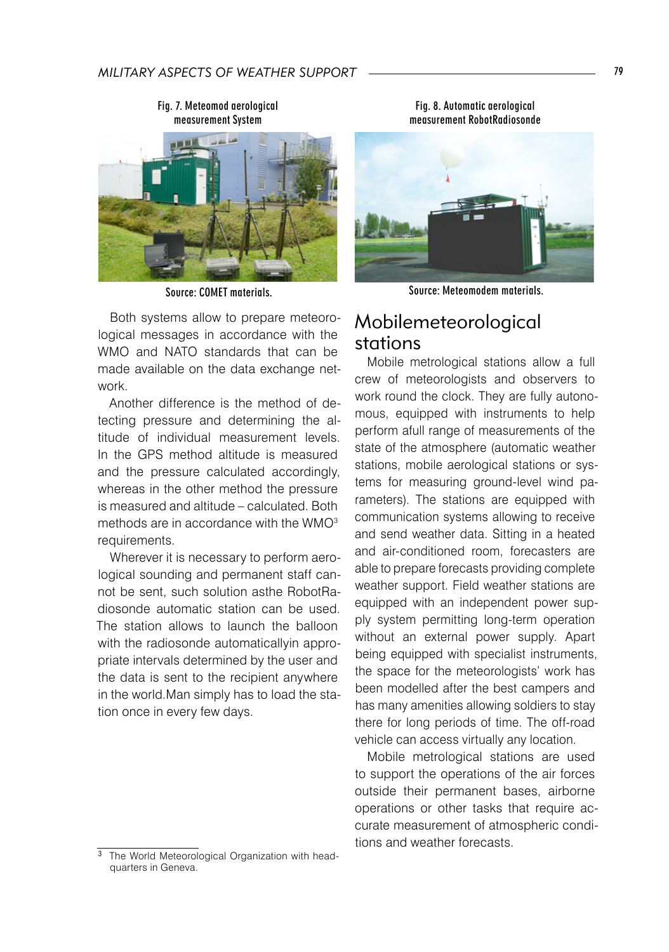

Source: COMET materials.

Both systems allow to prepare meteorological messages in accordance with the WMO and NATO standards that can be made available on the data exchange network.

Another difference is the method of detecting pressure and determining the altitude of individual measurement levels. In the GPS method altitude is measured and the pressure calculated accordingly, whereas in the other method the pressure is measured and altitude – calculated. Both methods are in accordance with the WMO $3$ requirements.

Wherever it is necessary to perform aerological sounding and permanent staff cannot be sent, such solution asthe RobotRadiosonde automatic station can be used. The station allows to launch the balloon with the radiosonde automaticallyin appropriate intervals determined by the user and the data is sent to the recipient anywhere in the world.Man simply has to load the station once in every few days.



 $\overline{3}$  The World Meteorological Organization with headquarters in Geneva.

Fig. 8. Automatic aerological measurement RobotRadiosonde



Source: Meteomodem materials.

## Mobilemeteorological stations

Mobile metrological stations allow a full crew of meteorologists and observers to work round the clock. They are fully autonomous, equipped with instruments to help perform afull range of measurements of the state of the atmosphere (automatic weather stations, mobile aerological stations or systems for measuring ground-level wind parameters). The stations are equipped with communication systems allowing to receive and send weather data. Sitting in a heated and air-conditioned room, forecasters are able to prepare forecasts providing complete weather support. Field weather stations are equipped with an independent power supply system permitting long-term operation without an external power supply. Apart being equipped with specialist instruments, the space for the meteorologists' work has been modelled after the best campers and has many amenities allowing soldiers to stay there for long periods of time. The off-road vehicle can access virtually any location.

Mobile metrological stations are used to support the operations of the air forces outside their permanent bases, airborne operations or other tasks that require accurate measurement of atmospheric conditions and weather forecasts.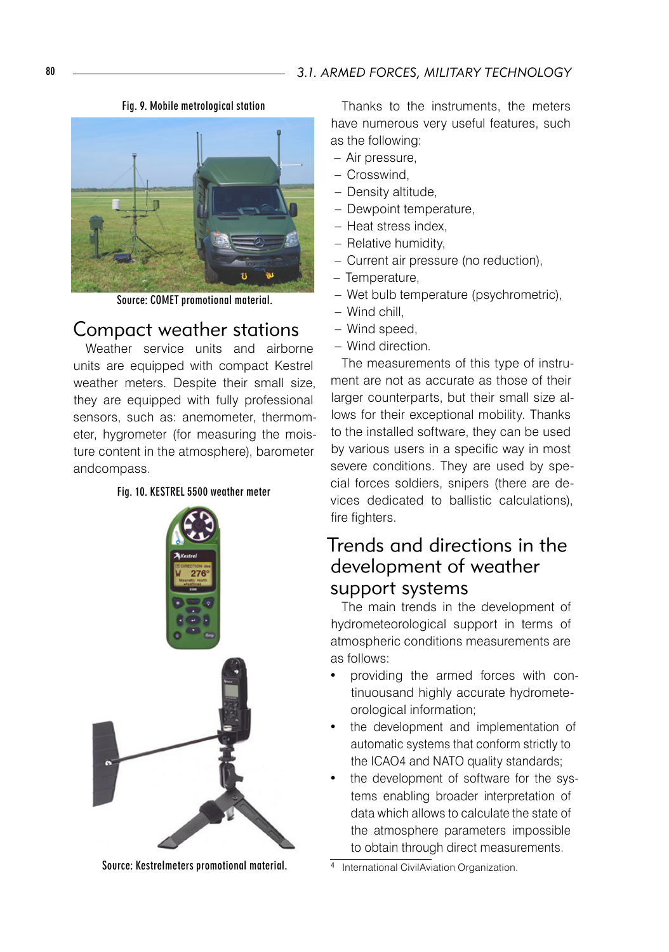

Fig. 9. Mobile metrological station

Source: COMET promotional material.

### Compact weather stations

Weather service units and airborne units are equipped with compact Kestrel weather meters. Despite their small size, they are equipped with fully professional sensors, such as: anemometer, thermometer, hygrometer (for measuring the moisture content in the atmosphere), barometer andcompass.





Source: Kestrelmeters promotional material.

Thanks to the instruments, the meters have numerous very useful features, such as the following:

- Air pressure, –
- Crosswind, –
- Density altitude,
- Dewpoint temperature,
- Heat stress index,
- Relative humidity,
- Current air pressure (no reduction), –
- Temperature,
- Wet bulb temperature (psychrometric), –
- Wind chill, –
- Wind speed, –
- Wind direction. –

The measurements of this type of instrument are not as accurate as those of their larger counterparts, but their small size allows for their exceptional mobility. Thanks to the installed software, they can be used by various users in a specific way in most severe conditions. They are used by special forces soldiers, snipers (there are devices dedicated to ballistic calculations), fire fighters.

# Trends and directions in the development of weather support systems

The main trends in the development of hydrometeorological support in terms of atmospheric conditions measurements are as follows:

- providing the armed forces with continuousand highly accurate hydrometeorological information;
- the development and implementation of automatic systems that conform strictly to the ICAO4 and NATO quality standards;
- the development of software for the systems enabling broader interpretation of data which allows to calculate the state of the atmosphere parameters impossible to obtain through direct measurements.

4 International CivilAviation Organization.